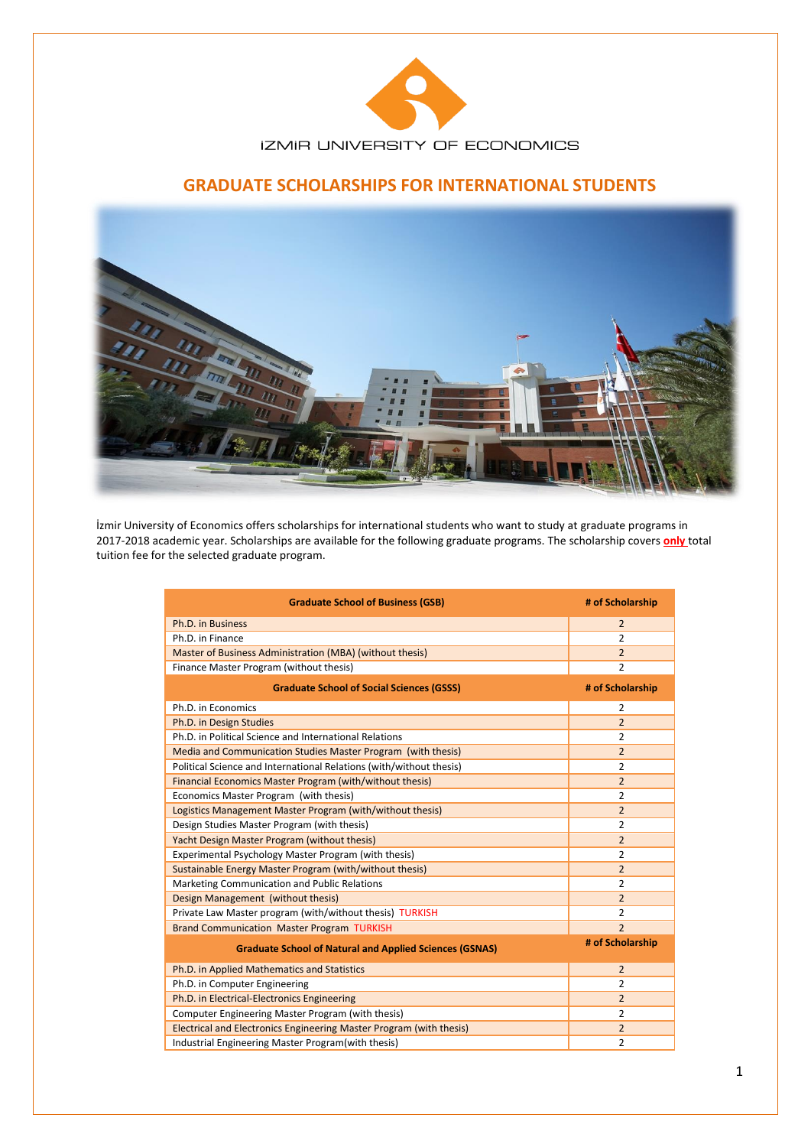

# **GRADUATE SCHOLARSHIPS FOR INTERNATIONAL STUDENTS**



İzmir University of Economics offers scholarships for international students who want to study at graduate programs in 2017-2018 academic year. Scholarships are available for the following graduate programs. The scholarship covers **only** total tuition fee for the selected graduate program.

| <b>Graduate School of Business (GSB)</b>                            | # of Scholarship |
|---------------------------------------------------------------------|------------------|
| Ph.D. in Business                                                   | $\overline{2}$   |
| Ph.D. in Finance                                                    | $\overline{2}$   |
| Master of Business Administration (MBA) (without thesis)            | $\overline{2}$   |
| Finance Master Program (without thesis)                             | $\overline{2}$   |
| <b>Graduate School of Social Sciences (GSSS)</b>                    | # of Scholarship |
| Ph.D. in Economics                                                  | 2                |
| Ph.D. in Design Studies                                             | $\overline{2}$   |
| Ph.D. in Political Science and International Relations              | 2                |
| Media and Communication Studies Master Program (with thesis)        | $\overline{2}$   |
| Political Science and International Relations (with/without thesis) | $\overline{2}$   |
| Financial Economics Master Program (with/without thesis)            | $\overline{2}$   |
| Economics Master Program (with thesis)                              | $\overline{2}$   |
| Logistics Management Master Program (with/without thesis)           | $\overline{2}$   |
| Design Studies Master Program (with thesis)                         | $\overline{2}$   |
| Yacht Design Master Program (without thesis)                        | $\overline{2}$   |
| Experimental Psychology Master Program (with thesis)                | $\overline{2}$   |
| Sustainable Energy Master Program (with/without thesis)             | $\overline{2}$   |
| Marketing Communication and Public Relations                        | $\overline{2}$   |
| Design Management (without thesis)                                  | $\overline{2}$   |
| Private Law Master program (with/without thesis) TURKISH            | $\overline{2}$   |
| <b>Brand Communication Master Program TURKISH</b>                   | $\overline{2}$   |
| <b>Graduate School of Natural and Applied Sciences (GSNAS)</b>      | # of Scholarship |
| Ph.D. in Applied Mathematics and Statistics                         | $\overline{2}$   |
| Ph.D. in Computer Engineering                                       | $\overline{2}$   |
| Ph.D. in Electrical-Electronics Engineering                         | $\overline{2}$   |
| Computer Engineering Master Program (with thesis)                   | $\overline{2}$   |
| Electrical and Electronics Engineering Master Program (with thesis) | $\overline{2}$   |
| Industrial Engineering Master Program(with thesis)                  | $\overline{2}$   |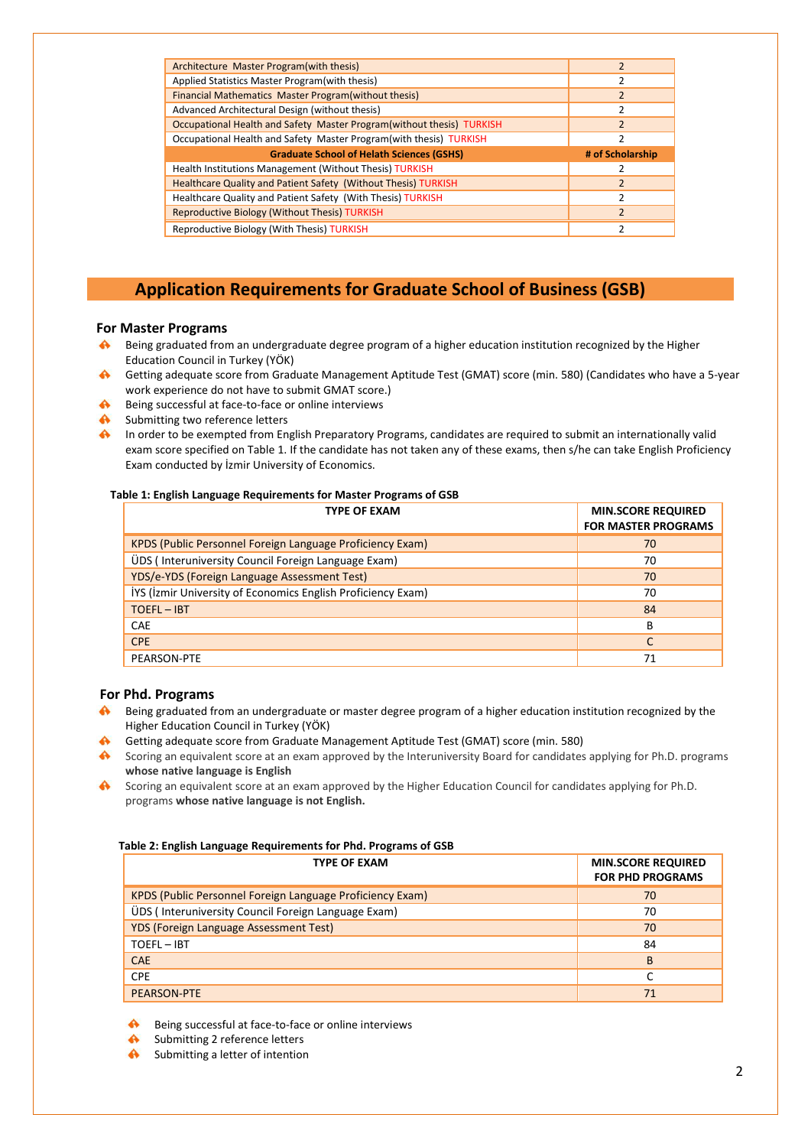| Architecture Master Program (with thesis)                             | $\overline{2}$   |
|-----------------------------------------------------------------------|------------------|
| Applied Statistics Master Program (with thesis)                       | 2                |
| Financial Mathematics Master Program (without thesis)                 | $\overline{2}$   |
| Advanced Architectural Design (without thesis)                        |                  |
| Occupational Health and Safety Master Program(without thesis) TURKISH | $\mathfrak{p}$   |
| Occupational Health and Safety Master Program(with thesis) TURKISH    | $\mathfrak z$    |
| <b>Graduate School of Helath Sciences (GSHS)</b>                      | # of Scholarship |
| Health Institutions Management (Without Thesis) TURKISH               |                  |
|                                                                       |                  |
| <b>Healthcare Quality and Patient Safety (Without Thesis) TURKISH</b> | $\mathfrak{p}$   |
| Healthcare Quality and Patient Safety (With Thesis) TURKISH           | $\mathfrak z$    |
| <b>Reproductive Biology (Without Thesis) TURKISH</b>                  | $\mathfrak{p}$   |

# **Application Requirements for Graduate School of Business (GSB)**

# **For Master Programs**

- Being graduated from an undergraduate degree program of a higher education institution recognized by the Higher Education Council in Turkey (YÖK)
- Getting adequate score from Graduate Management Aptitude Test (GMAT) score (min. 580) (Candidates who have a 5-year work experience do not have to submit GMAT score.)
- $\mathbf{A}$ Being successful at face-to-face or online interviews
- $\mathbf{A}$ Submitting two reference letters
- $\mathbf{A}$ In order to be exempted from English Preparatory Programs, candidates are required to submit an internationally valid exam score specified on Table 1. If the candidate has not taken any of these exams, then s/he can take English Proficiency Exam conducted by İzmir University of Economics.

#### **Table 1: English Language Requirements for Master Programs of GSB**

| <b>TYPE OF EXAM</b>                                          | <b>MIN.SCORE REQUIRED</b><br><b>FOR MASTER PROGRAMS</b> |
|--------------------------------------------------------------|---------------------------------------------------------|
| KPDS (Public Personnel Foreign Language Proficiency Exam)    | 70                                                      |
| ÜDS (Interuniversity Council Foreign Language Exam)          | 70                                                      |
| YDS/e-YDS (Foreign Language Assessment Test)                 | 70                                                      |
| IYS (Izmir University of Economics English Proficiency Exam) | 70                                                      |
| <b>TOEFL-IBT</b>                                             | 84                                                      |
| <b>CAE</b>                                                   | B                                                       |
| <b>CPE</b>                                                   | C                                                       |
| PEARSON-PTE                                                  | 71                                                      |

# **For Phd. Programs**

- Being graduated from an undergraduate or master degree program of a higher education institution recognized by the  $\clubsuit$ Higher Education Council in Turkey (YÖK)
- Getting adequate score from Graduate Management Aptitude Test (GMAT) score (min. 580)
- Scoring an equivalent score at an exam approved by the Interuniversity Board for candidates applying for Ph.D. programs **whose native language is English**
- Scoring an equivalent score at an exam approved by the Higher Education Council for candidates applying for Ph.D. programs **whose native language is not English.**

#### **Table 2: English Language Requirements for Phd. Programs of GSB**

| <b>TYPE OF EXAM</b>                                       | <b>MIN.SCORE REQUIRED</b><br><b>FOR PHD PROGRAMS</b> |
|-----------------------------------------------------------|------------------------------------------------------|
| KPDS (Public Personnel Foreign Language Proficiency Exam) | 70                                                   |
| ÜDS (Interuniversity Council Foreign Language Exam)       | 70                                                   |
| YDS (Foreign Language Assessment Test)                    | 70                                                   |
| TOEFL-IBT                                                 | 84                                                   |
| <b>CAE</b>                                                | B                                                    |
| CPE                                                       | C                                                    |
| <b>PEARSON-PTE</b>                                        | 71                                                   |

Being successful at face-to-face or online interviews

- Submitting 2 reference letters
- Submitting a letter of intention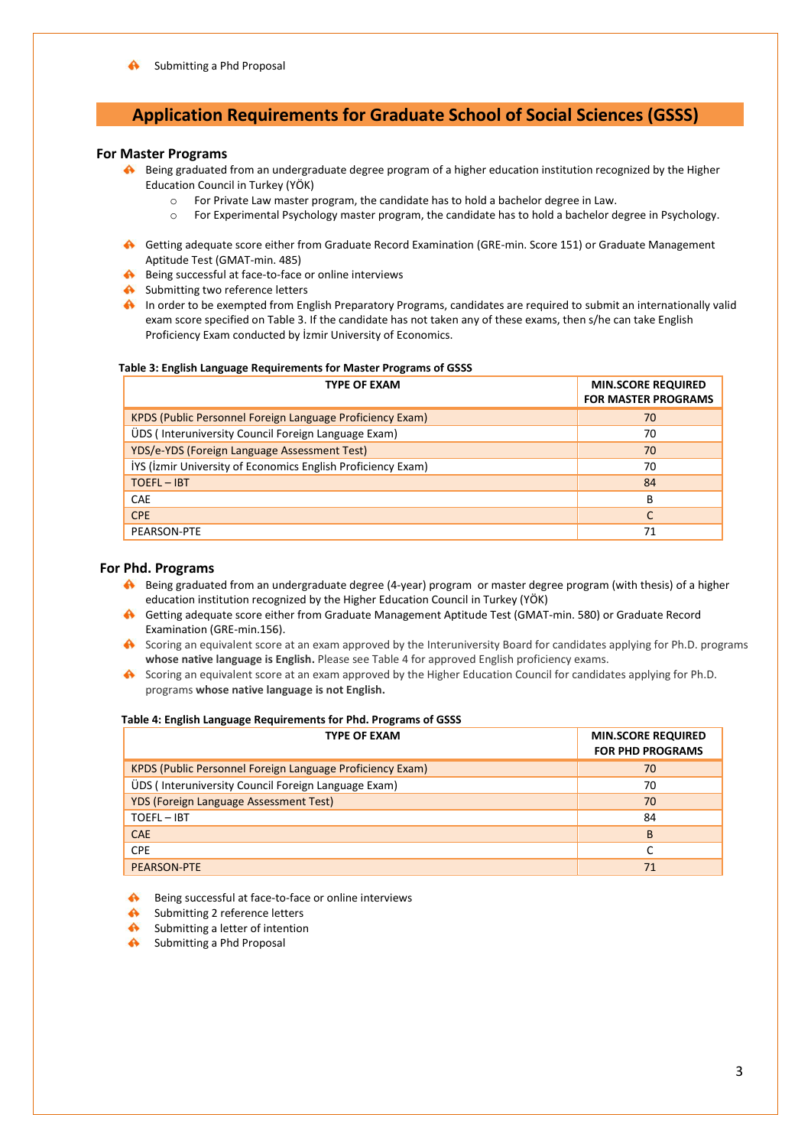# **Application Requirements for Graduate School of Social Sciences (GSSS)**

### **For Master Programs**

- Being graduated from an undergraduate degree program of a higher education institution recognized by the Higher Education Council in Turkey (YÖK)
	- o For Private Law master program, the candidate has to hold a bachelor degree in Law.
	- o For Experimental Psychology master program, the candidate has to hold a bachelor degree in Psychology.
- Getting adequate score either from Graduate Record Examination (GRE-min. Score 151) or Graduate Management Aptitude Test (GMAT-min. 485)
- A Being successful at face-to-face or online interviews
- Submitting two reference letters
- In order to be exempted from English Preparatory Programs, candidates are required to submit an internationally valid exam score specified on Table 3. If the candidate has not taken any of these exams, then s/he can take English Proficiency Exam conducted by İzmir University of Economics.

#### **Table 3: English Language Requirements for Master Programs of GSSS**

| <b>TYPE OF EXAM</b>                                          | <b>MIN.SCORE REQUIRED</b><br><b>FOR MASTER PROGRAMS</b> |
|--------------------------------------------------------------|---------------------------------------------------------|
| KPDS (Public Personnel Foreign Language Proficiency Exam)    | 70                                                      |
| ÜDS (Interuniversity Council Foreign Language Exam)          | 70                                                      |
| YDS/e-YDS (Foreign Language Assessment Test)                 | 70                                                      |
| IYS (Izmir University of Economics English Proficiency Exam) | 70                                                      |
| <b>TOEFL-IBT</b>                                             | 84                                                      |
| <b>CAE</b>                                                   | в                                                       |
| <b>CPE</b>                                                   | C                                                       |
| PEARSON-PTE                                                  | 71                                                      |

#### **For Phd. Programs**

- Being graduated from an undergraduate degree (4-year) program or master degree program (with thesis) of a higher education institution recognized by the Higher Education Council in Turkey (YÖK)
- Getting adequate score either from Graduate Management Aptitude Test (GMAT-min. 580) or Graduate Record Examination (GRE-min.156).
- Scoring an equivalent score at an exam approved by the Interuniversity Board for candidates applying for Ph.D. programs **whose native language is English.** Please see Table 4 for approved English proficiency exams.
- Scoring an equivalent score at an exam approved by the Higher Education Council for candidates applying for Ph.D. programs **whose native language is not English.**

#### **Table 4: English Language Requirements for Phd. Programs of GSSS**

| <b>TYPE OF EXAM</b>                                       | <b>MIN.SCORE REQUIRED</b><br><b>FOR PHD PROGRAMS</b> |
|-----------------------------------------------------------|------------------------------------------------------|
| KPDS (Public Personnel Foreign Language Proficiency Exam) | 70                                                   |
| ÜDS (Interuniversity Council Foreign Language Exam)       | 70                                                   |
| <b>YDS (Foreign Language Assessment Test)</b>             | 70                                                   |
| TOEFL-IBT                                                 | 84                                                   |
| <b>CAE</b>                                                | B                                                    |
| <b>CPE</b>                                                | C                                                    |
| <b>PEARSON-PTE</b>                                        | 71                                                   |

- Being successful at face-to-face or online interviews
- Submitting 2 reference letters
- $\blacktriangle$ Submitting a letter of intention
- Submitting a Phd Proposal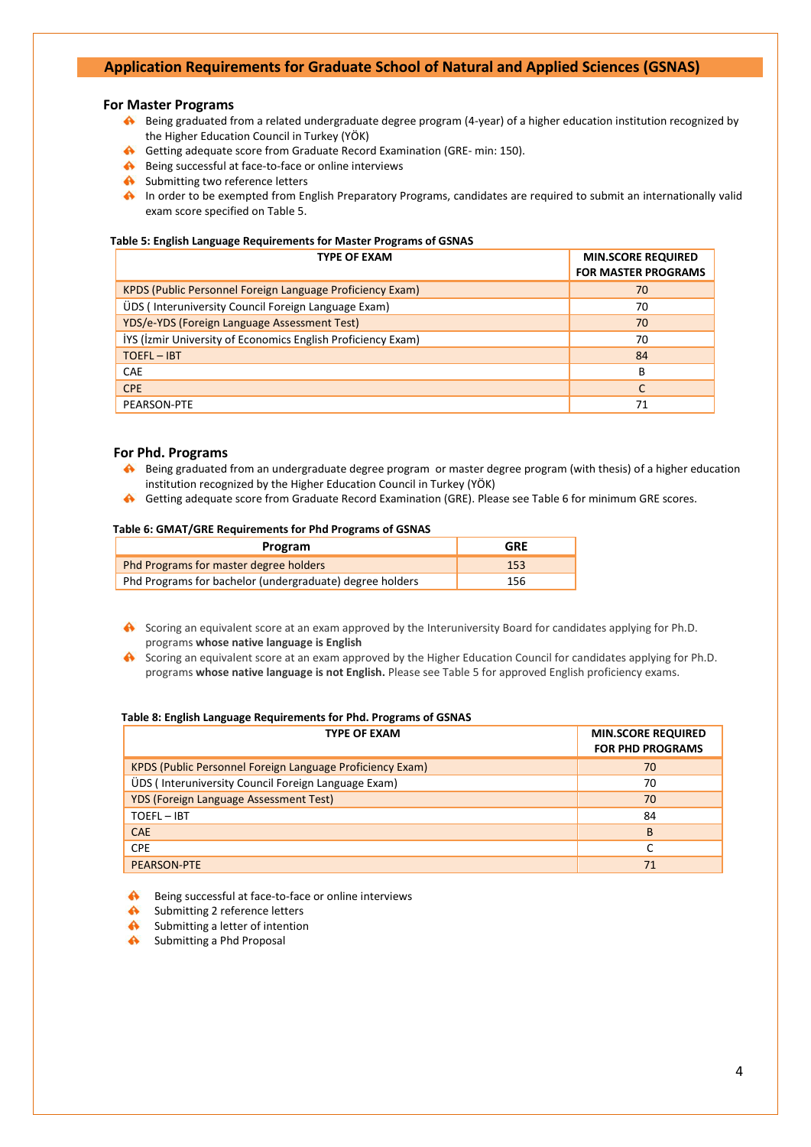# **Application Requirements for Graduate School of Natural and Applied Sciences (GSNAS)**

### **For Master Programs**

- Being graduated from a related undergraduate degree program (4-year) of a higher education institution recognized by the Higher Education Council in Turkey (YÖK)
- Getting adequate score from Graduate Record Examination (GRE- min: 150).
- Being successful at face-to-face or online interviews
- Submitting two reference letters
- In order to be exempted from English Preparatory Programs, candidates are required to submit an internationally valid exam score specified on Table 5.

#### **Table 5: English Language Requirements for Master Programs of GSNAS**

| <b>TYPE OF EXAM</b>                                          | <b>MIN.SCORE REQUIRED</b><br><b>FOR MASTER PROGRAMS</b> |
|--------------------------------------------------------------|---------------------------------------------------------|
| KPDS (Public Personnel Foreign Language Proficiency Exam)    | 70                                                      |
| ÜDS (Interuniversity Council Foreign Language Exam)          | 70                                                      |
| YDS/e-YDS (Foreign Language Assessment Test)                 | 70                                                      |
| IYS (Izmir University of Economics English Proficiency Exam) | 70                                                      |
| $TOEFL - IBT$                                                | 84                                                      |
| <b>CAE</b>                                                   | B                                                       |
| <b>CPE</b>                                                   | C                                                       |
| PEARSON-PTE                                                  | 71                                                      |

### **For Phd. Programs**

- Being graduated from an undergraduate degree program or master degree program (with thesis) of a higher education institution recognized by the Higher Education Council in Turkey (YÖK)
- ₳ Getting adequate score from Graduate Record Examination (GRE). Please see Table 6 for minimum GRE scores.

## **Table 6: GMAT/GRE Requirements for Phd Programs of GSNAS**

| Program                                                  | <b>GRE</b> |
|----------------------------------------------------------|------------|
| Phd Programs for master degree holders                   | 153        |
| Phd Programs for bachelor (undergraduate) degree holders | 156        |

- Scoring an equivalent score at an exam approved by the Interuniversity Board for candidates applying for Ph.D. programs **whose native language is English**
- Scoring an equivalent score at an exam approved by the Higher Education Council for candidates applying for Ph.D. programs **whose native language is not English.** Please see Table 5 for approved English proficiency exams.

### **Table 8: English Language Requirements for Phd. Programs of GSNAS**

| <b>TYPE OF EXAM</b>                                       | <b>MIN.SCORE REQUIRED</b><br><b>FOR PHD PROGRAMS</b> |
|-----------------------------------------------------------|------------------------------------------------------|
| KPDS (Public Personnel Foreign Language Proficiency Exam) | 70                                                   |
| UDS (Interuniversity Council Foreign Language Exam)       | 70                                                   |
| <b>YDS (Foreign Language Assessment Test)</b>             | 70                                                   |
| TOEFL-IBT                                                 | 84                                                   |
| <b>CAE</b>                                                | B                                                    |
| <b>CPE</b>                                                |                                                      |
| <b>PEARSON-PTE</b>                                        | 71                                                   |

Being successful at face-to-face or online interviews  $\clubsuit$ 

- $\blacktriangle$ Submitting 2 reference letters
- $\blacktriangle$ Submitting a letter of intention
- Submitting a Phd Proposal